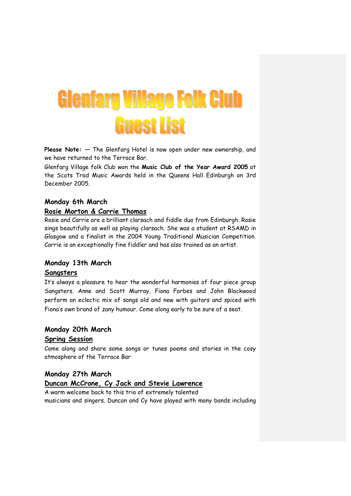# **Glenfarg Village Folk Club Guest List**

Please Note:  $-$  The Glenfarg Hotel is now open under new ownership, and we have returned to the Terrace Bar.

Glenfarg Village folk Club won the Music Club of the Year Award 2005 at the Scots Trad Music Awards held in the Queens Hall Edinburgh on 3rd December 2005.

#### Monday 6th March

#### Rosie Morton & Carrie Thomas

Rosie and Carrie are a brilliant clarsach and fiddle duo from Edinburgh. Rosie sings beautifully as well as playing clarsach. She was a student at RSAMD in Glasgow and a finalist in the 2004 Young Traditional Musician Competition. Carrie is an exceptionally fine fiddler and has also trained as an artist.

# Monday 13th March

#### Sangsters

It's always a pleasure to hear the wonderful harmonies of four piece group Sangsters. Anne and Scott Murray, Fiona Forbes and John Blackwood perform an eclectic mix of songs old and new with guitars and spiced with Fiona's own brand of zany humour. Come along early to be sure of a seat.

#### Monday 20th March

#### Spring Session

Come along and share some songs or tunes poems and stories in the cosy atmosphere of the Terrace Bar

#### Monday 27th March

## Duncan McCrone, Cy Jack and Stevie Lawrence

A warm welcome back to this trio of extremely talented musicians and singers. Duncan and Cy have played with many bands including